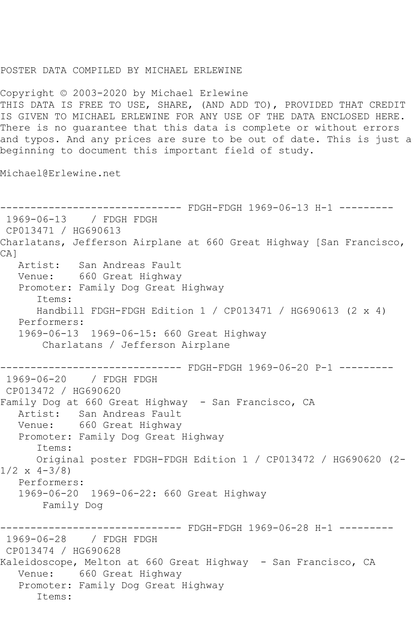## POSTER DATA COMPILED BY MICHAEL ERLEWINE

Copyright © 2003-2020 by Michael Erlewine THIS DATA IS FREE TO USE, SHARE, (AND ADD TO), PROVIDED THAT CREDIT IS GIVEN TO MICHAEL ERLEWINE FOR ANY USE OF THE DATA ENCLOSED HERE. There is no guarantee that this data is complete or without errors and typos. And any prices are sure to be out of date. This is just a beginning to document this important field of study.

Michael@Erlewine.net

------------------------------ FDGH-FDGH 1969-06-13 H-1 --------- 1969-06-13 / FDGH FDGH CP013471 / HG690613 Charlatans, Jefferson Airplane at 660 Great Highway [San Francisco, CA] Artist: San Andreas Fault Venue: 660 Great Highway Promoter: Family Dog Great Highway Items: Handbill FDGH-FDGH Edition 1 / CP013471 / HG690613 (2 x 4) Performers: 1969-06-13 1969-06-15: 660 Great Highway Charlatans / Jefferson Airplane ------------------------------ FDGH-FDGH 1969-06-20 P-1 --------- 1969-06-20 / FDGH FDGH CP013472 / HG690620 Family Dog at 660 Great Highway - San Francisco, CA Artist: San Andreas Fault Venue: 660 Great Highway Promoter: Family Dog Great Highway Items: Original poster FDGH-FDGH Edition 1 / CP013472 / HG690620 (2-  $1/2 \times 4 - 3/8$  Performers: 1969-06-20 1969-06-22: 660 Great Highway Family Dog ------ FDGH-FDGH 1969-06-28 H-1 ---------1969-06-28 / FDGH FDGH CP013474 / HG690628 Kaleidoscope, Melton at 660 Great Highway - San Francisco, CA Venue: 660 Great Highway Promoter: Family Dog Great Highway Items: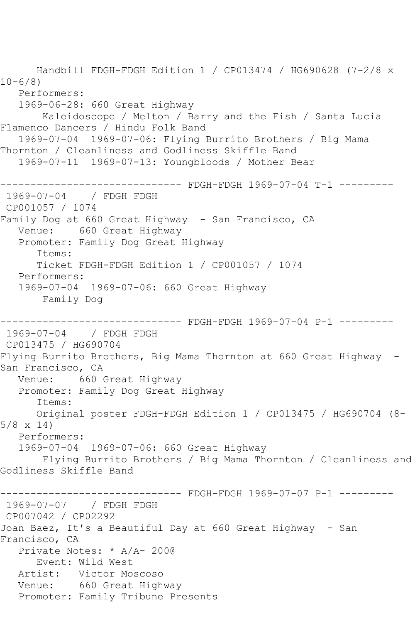Handbill FDGH-FDGH Edition 1 / CP013474 / HG690628 (7-2/8 x  $10 - 6/8$  Performers: 1969-06-28: 660 Great Highway Kaleidoscope / Melton / Barry and the Fish / Santa Lucia Flamenco Dancers / Hindu Folk Band 1969-07-04 1969-07-06: Flying Burrito Brothers / Big Mama Thornton / Cleanliness and Godliness Skiffle Band 1969-07-11 1969-07-13: Youngbloods / Mother Bear ------------------------------ FDGH-FDGH 1969-07-04 T-1 --------- 1969-07-04 / FDGH FDGH CP001057 / 1074 Family Dog at 660 Great Highway - San Francisco, CA Venue: 660 Great Highway Promoter: Family Dog Great Highway Items: Ticket FDGH-FDGH Edition 1 / CP001057 / 1074 Performers: 1969-07-04 1969-07-06: 660 Great Highway Family Dog ------------------------------ FDGH-FDGH 1969-07-04 P-1 --------- 1969-07-04 / FDGH FDGH CP013475 / HG690704 Flying Burrito Brothers, Big Mama Thornton at 660 Great Highway - San Francisco, CA Venue: 660 Great Highway Promoter: Family Dog Great Highway Items: Original poster FDGH-FDGH Edition 1 / CP013475 / HG690704 (8- 5/8 x 14) Performers: 1969-07-04 1969-07-06: 660 Great Highway Flying Burrito Brothers / Big Mama Thornton / Cleanliness and Godliness Skiffle Band ------------------------------ FDGH-FDGH 1969-07-07 P-1 --------- 1969-07-07 / FDGH FDGH CP007042 / CP02292 Joan Baez, It's a Beautiful Day at 660 Great Highway - San Francisco, CA Private Notes: \* A/A- 200@ Event: Wild West Artist: Victor Moscoso Venue: 660 Great Highway Promoter: Family Tribune Presents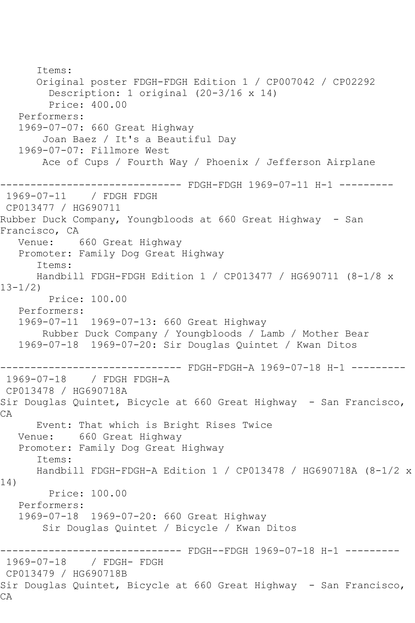Items: Original poster FDGH-FDGH Edition 1 / CP007042 / CP02292 Description: 1 original (20-3/16 x 14) Price: 400.00 Performers: 1969-07-07: 660 Great Highway Joan Baez / It's a Beautiful Day 1969-07-07: Fillmore West Ace of Cups / Fourth Way / Phoenix / Jefferson Airplane ------------------------------ FDGH-FDGH 1969-07-11 H-1 --------- 1969-07-11 / FDGH FDGH CP013477 / HG690711 Rubber Duck Company, Youngbloods at 660 Great Highway - San Francisco, CA<br>Venue: 660 Great Highway Promoter: Family Dog Great Highway Items: Handbill FDGH-FDGH Edition 1 / CP013477 / HG690711 (8-1/8 x 13-1/2) Price: 100.00 Performers: 1969-07-11 1969-07-13: 660 Great Highway Rubber Duck Company / Youngbloods / Lamb / Mother Bear 1969-07-18 1969-07-20: Sir Douglas Quintet / Kwan Ditos ------------------------------ FDGH-FDGH-A 1969-07-18 H-1 --------- 1969-07-18 / FDGH FDGH-A CP013478 / HG690718A Sir Douglas Quintet, Bicycle at 660 Great Highway - San Francisco, CA Event: That which is Bright Rises Twice Venue: 660 Great Highway Promoter: Family Dog Great Highway Items: Handbill FDGH-FDGH-A Edition 1 / CP013478 / HG690718A (8-1/2 x 14) Price: 100.00 Performers: 1969-07-18 1969-07-20: 660 Great Highway Sir Douglas Quintet / Bicycle / Kwan Ditos ------------------------------ FDGH--FDGH 1969-07-18 H-1 --------- 1969-07-18 / FDGH- FDGH CP013479 / HG690718B Sir Douglas Quintet, Bicycle at 660 Great Highway - San Francisco, CA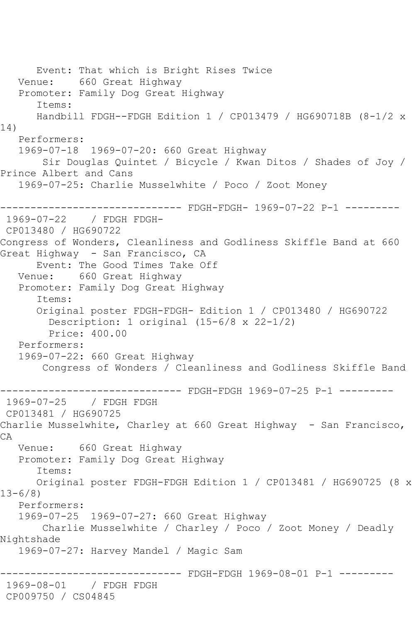Event: That which is Bright Rises Twice Venue: 660 Great Highway Promoter: Family Dog Great Highway Items: Handbill FDGH--FDGH Edition 1 / CP013479 / HG690718B (8-1/2 x 14) Performers: 1969-07-18 1969-07-20: 660 Great Highway Sir Douglas Quintet / Bicycle / Kwan Ditos / Shades of Joy / Prince Albert and Cans 1969-07-25: Charlie Musselwhite / Poco / Zoot Money ------------------------------ FDGH-FDGH- 1969-07-22 P-1 --------- 1969-07-22 / FDGH FDGH-CP013480 / HG690722 Congress of Wonders, Cleanliness and Godliness Skiffle Band at 660 Great Highway - San Francisco, CA Event: The Good Times Take Off<br>Venue: 660 Great Highway 660 Great Highway Promoter: Family Dog Great Highway Items: Original poster FDGH-FDGH- Edition 1 / CP013480 / HG690722 Description: 1 original (15-6/8 x 22-1/2) Price: 400.00 Performers: 1969-07-22: 660 Great Highway Congress of Wonders / Cleanliness and Godliness Skiffle Band ---------- FDGH-FDGH 1969-07-25 P-1 ---------1969-07-25 / FDGH FDGH CP013481 / HG690725 Charlie Musselwhite, Charley at 660 Great Highway - San Francisco, CA Venue: 660 Great Highway Promoter: Family Dog Great Highway Items: Original poster FDGH-FDGH Edition 1 / CP013481 / HG690725 (8 x  $13 - 6/8$  Performers: 1969-07-25 1969-07-27: 660 Great Highway Charlie Musselwhite / Charley / Poco / Zoot Money / Deadly Nightshade 1969-07-27: Harvey Mandel / Magic Sam ------------------------------ FDGH-FDGH 1969-08-01 P-1 --------- 1969-08-01 / FDGH FDGH CP009750 / CS04845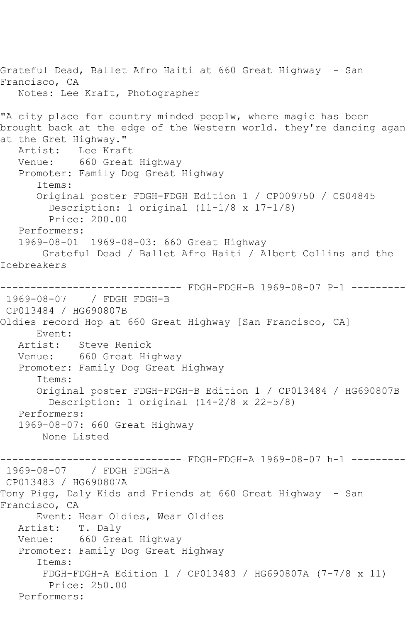Grateful Dead, Ballet Afro Haiti at 660 Great Highway - San Francisco, CA Notes: Lee Kraft, Photographer "A city place for country minded peoplw, where magic has been brought back at the edge of the Western world. they're dancing agan at the Gret Highway." Artist: Lee Kraft Venue: 660 Great Highway Promoter: Family Dog Great Highway Items: Original poster FDGH-FDGH Edition 1 / CP009750 / CS04845 Description: 1 original (11-1/8 x 17-1/8) Price: 200.00 Performers: 1969-08-01 1969-08-03: 660 Great Highway Grateful Dead / Ballet Afro Haiti / Albert Collins and the Icebreakers ------------------------------ FDGH-FDGH-B 1969-08-07 P-1 --------- 1969-08-07 / FDGH FDGH-B CP013484 / HG690807B Oldies record Hop at 660 Great Highway [San Francisco, CA] Event: Artist: Steve Renick Venue: 660 Great Highway Promoter: Family Dog Great Highway Items: Original poster FDGH-FDGH-B Edition 1 / CP013484 / HG690807B Description: 1 original (14-2/8 x 22-5/8) Performers: 1969-08-07: 660 Great Highway None Listed --------- FDGH-FDGH-A 1969-08-07 h-1 ---------1969-08-07 / FDGH FDGH-A CP013483 / HG690807A Tony Pigg, Daly Kids and Friends at 660 Great Highway - San Francisco, CA Event: Hear Oldies, Wear Oldies Artist: T. Daly Venue: 660 Great Highway Promoter: Family Dog Great Highway Items: FDGH-FDGH-A Edition 1 / CP013483 / HG690807A (7-7/8 x 11) Price: 250.00 Performers: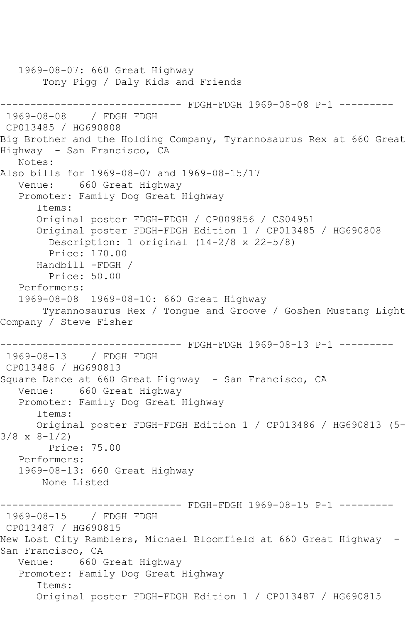```
 1969-08-07: 660 Great Highway
        Tony Pigg / Daly Kids and Friends
------------------------------ FDGH-FDGH 1969-08-08 P-1 ---------
1969-08-08 / FDGH FDGH
CP013485 / HG690808
Big Brother and the Holding Company, Tyrannosaurus Rex at 660 Great 
Highway - San Francisco, CA
   Notes: 
Also bills for 1969-08-07 and 1969-08-15/17
   Venue: 660 Great Highway
   Promoter: Family Dog Great Highway
       Items:
      Original poster FDGH-FDGH / CP009856 / CS04951
       Original poster FDGH-FDGH Edition 1 / CP013485 / HG690808
         Description: 1 original (14-2/8 x 22-5/8)
         Price: 170.00
       Handbill -FDGH / 
         Price: 50.00
   Performers:
   1969-08-08 1969-08-10: 660 Great Highway
        Tyrannosaurus Rex / Tongue and Groove / Goshen Mustang Light 
Company / Steve Fisher
                  ------------------------------ FDGH-FDGH 1969-08-13 P-1 ---------
1969-08-13 / FDGH FDGH
CP013486 / HG690813
Square Dance at 660 Great Highway - San Francisco, CA
   Venue: 660 Great Highway
   Promoter: Family Dog Great Highway
       Items:
      Original poster FDGH-FDGH Edition 1 / CP013486 / HG690813 (5-
3/8 \times 8 - 1/2 Price: 75.00
   Performers:
   1969-08-13: 660 Great Highway
       None Listed
------------------------------ FDGH-FDGH 1969-08-15 P-1 ---------
1969-08-15 / FDGH FDGH
CP013487 / HG690815
New Lost City Ramblers, Michael Bloomfield at 660 Great Highway -
San Francisco, CA
   Venue: 660 Great Highway
   Promoter: Family Dog Great Highway
       Items:
       Original poster FDGH-FDGH Edition 1 / CP013487 / HG690815
```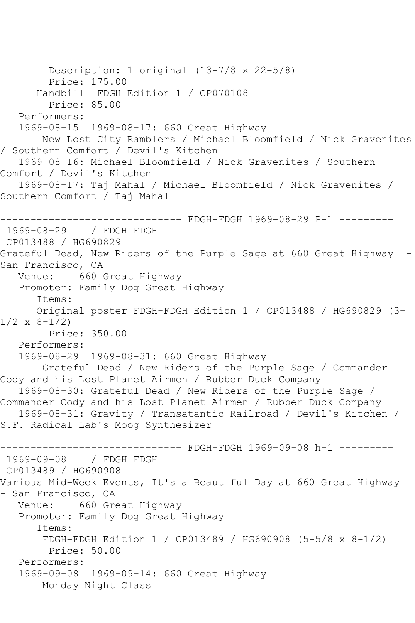```
 Description: 1 original (13-7/8 x 22-5/8)
         Price: 175.00
       Handbill -FDGH Edition 1 / CP070108
         Price: 85.00
   Performers:
   1969-08-15 1969-08-17: 660 Great Highway
       New Lost City Ramblers / Michael Bloomfield / Nick Gravenites 
/ Southern Comfort / Devil's Kitchen
   1969-08-16: Michael Bloomfield / Nick Gravenites / Southern 
Comfort / Devil's Kitchen
   1969-08-17: Taj Mahal / Michael Bloomfield / Nick Gravenites / 
Southern Comfort / Taj Mahal
------------------------------ FDGH-FDGH 1969-08-29 P-1 ---------
1969-08-29 / FDGH FDGH
CP013488 / HG690829
Grateful Dead, New Riders of the Purple Sage at 660 Great Highway -
San Francisco, CA<br>Venue: 660
           660 Great Highway
   Promoter: Family Dog Great Highway
       Items:
      Original poster FDGH-FDGH Edition 1 / CP013488 / HG690829 (3-
1/2 \times 8 - 1/2 Price: 350.00
   Performers:
   1969-08-29 1969-08-31: 660 Great Highway
       Grateful Dead / New Riders of the Purple Sage / Commander 
Cody and his Lost Planet Airmen / Rubber Duck Company
   1969-08-30: Grateful Dead / New Riders of the Purple Sage / 
Commander Cody and his Lost Planet Airmen / Rubber Duck Company
   1969-08-31: Gravity / Transatantic Railroad / Devil's Kitchen / 
S.F. Radical Lab's Moog Synthesizer
------------------------------ FDGH-FDGH 1969-09-08 h-1 ---------
1969-09-08 / FDGH FDGH
CP013489 / HG690908
Various Mid-Week Events, It's a Beautiful Day at 660 Great Highway 
- San Francisco, CA
   Venue: 660 Great Highway
   Promoter: Family Dog Great Highway
       Items:
        FDGH-FDGH Edition 1 / CP013489 / HG690908 (5-5/8 x 8-1/2)
         Price: 50.00
   Performers:
   1969-09-08 1969-09-14: 660 Great Highway
        Monday Night Class
```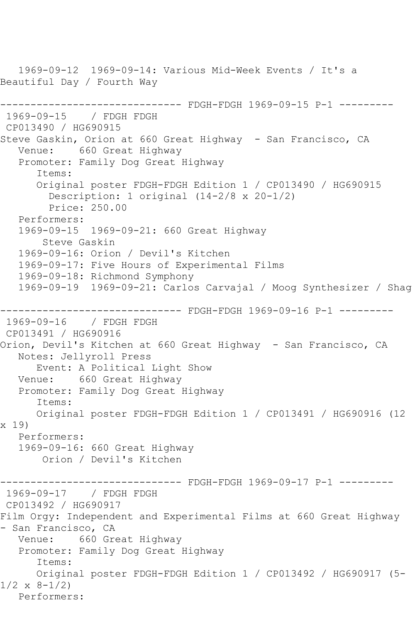1969-09-12 1969-09-14: Various Mid-Week Events / It's a Beautiful Day / Fourth Way ------------------------------ FDGH-FDGH 1969-09-15 P-1 --------- 1969-09-15 / FDGH FDGH CP013490 / HG690915 Steve Gaskin, Orion at 660 Great Highway - San Francisco, CA Venue: 660 Great Highway Promoter: Family Dog Great Highway Items: Original poster FDGH-FDGH Edition 1 / CP013490 / HG690915 Description: 1 original (14-2/8 x 20-1/2) Price: 250.00 Performers: 1969-09-15 1969-09-21: 660 Great Highway Steve Gaskin 1969-09-16: Orion / Devil's Kitchen 1969-09-17: Five Hours of Experimental Films 1969-09-18: Richmond Symphony 1969-09-19 1969-09-21: Carlos Carvajal / Moog Synthesizer / Shag ------------------------------ FDGH-FDGH 1969-09-16 P-1 --------- 1969-09-16 / FDGH FDGH CP013491 / HG690916 Orion, Devil's Kitchen at 660 Great Highway - San Francisco, CA Notes: Jellyroll Press Event: A Political Light Show Venue: 660 Great Highway Promoter: Family Dog Great Highway Items: Original poster FDGH-FDGH Edition 1 / CP013491 / HG690916 (12 x 19) Performers: 1969-09-16: 660 Great Highway Orion / Devil's Kitchen ------------------------------ FDGH-FDGH 1969-09-17 P-1 --------- 1969-09-17 / FDGH FDGH CP013492 / HG690917 Film Orgy: Independent and Experimental Films at 660 Great Highway - San Francisco, CA Venue: 660 Great Highway Promoter: Family Dog Great Highway Items: Original poster FDGH-FDGH Edition 1 / CP013492 / HG690917 (5-  $1/2 \times 8 - 1/2$ Performers: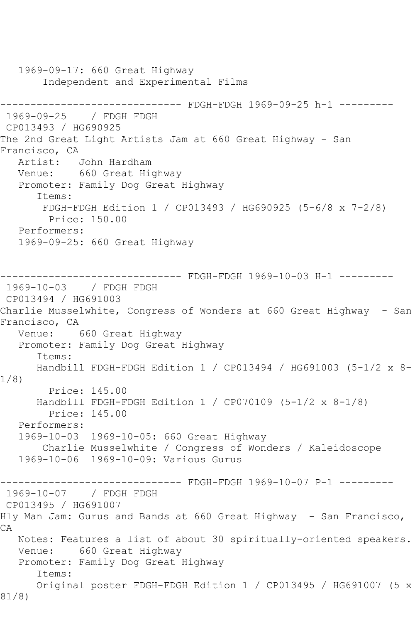1969-09-17: 660 Great Highway Independent and Experimental Films ------------------------------ FDGH-FDGH 1969-09-25 h-1 --------- 1969-09-25 / FDGH FDGH CP013493 / HG690925 The 2nd Great Light Artists Jam at 660 Great Highway - San Francisco, CA Artist: John Hardham Venue: 660 Great Highway Promoter: Family Dog Great Highway Items: FDGH-FDGH Edition 1 / CP013493 / HG690925 (5-6/8 x 7-2/8) Price: 150.00 Performers: 1969-09-25: 660 Great Highway ------------ FDGH-FDGH 1969-10-03 H-1 ---------1969-10-03 / FDGH FDGH CP013494 / HG691003 Charlie Musselwhite, Congress of Wonders at 660 Great Highway - San Francisco, CA Venue: 660 Great Highway Promoter: Family Dog Great Highway Items: Handbill FDGH-FDGH Edition 1 / CP013494 / HG691003 (5-1/2 x 8- 1/8) Price: 145.00 Handbill FDGH-FDGH Edition 1 / CP070109 (5-1/2 x 8-1/8) Price: 145.00 Performers: 1969-10-03 1969-10-05: 660 Great Highway Charlie Musselwhite / Congress of Wonders / Kaleidoscope 1969-10-06 1969-10-09: Various Gurus ------------------------------ FDGH-FDGH 1969-10-07 P-1 --------- 1969-10-07 / FDGH FDGH CP013495 / HG691007 Hly Man Jam: Gurus and Bands at 660 Great Highway - San Francisco, CA Notes: Features a list of about 30 spiritually-oriented speakers. Venue: 660 Great Highway Promoter: Family Dog Great Highway Items: Original poster FDGH-FDGH Edition 1 / CP013495 / HG691007 (5 x 81/8)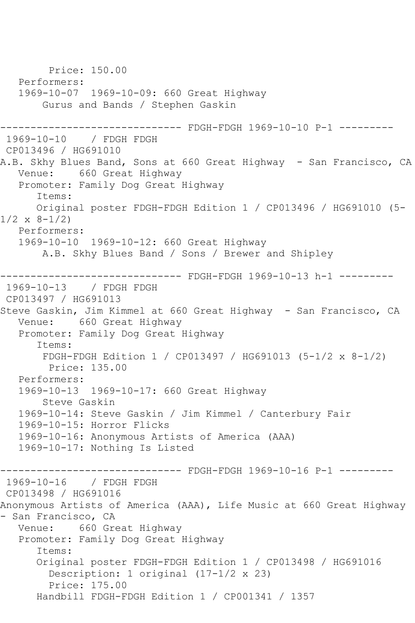Price: 150.00 Performers: 1969-10-07 1969-10-09: 660 Great Highway Gurus and Bands / Stephen Gaskin ---------------------- FDGH-FDGH 1969-10-10 P-1 ---------1969-10-10 / FDGH FDGH CP013496 / HG691010 A.B. Skhy Blues Band, Sons at 660 Great Highway - San Francisco, CA Venue: 660 Great Highway Promoter: Family Dog Great Highway Items: Original poster FDGH-FDGH Edition 1 / CP013496 / HG691010 (5-  $1/2 \times 8 - 1/2$  Performers: 1969-10-10 1969-10-12: 660 Great Highway A.B. Skhy Blues Band / Sons / Brewer and Shipley ------------------------------ FDGH-FDGH 1969-10-13 h-1 --------- 1969-10-13 / FDGH FDGH CP013497 / HG691013 Steve Gaskin, Jim Kimmel at 660 Great Highway - San Francisco, CA Venue: 660 Great Highway Promoter: Family Dog Great Highway Items: FDGH-FDGH Edition 1 / CP013497 / HG691013 (5-1/2 x 8-1/2) Price: 135.00 Performers: 1969-10-13 1969-10-17: 660 Great Highway Steve Gaskin 1969-10-14: Steve Gaskin / Jim Kimmel / Canterbury Fair 1969-10-15: Horror Flicks 1969-10-16: Anonymous Artists of America (AAA) 1969-10-17: Nothing Is Listed ------------------------------ FDGH-FDGH 1969-10-16 P-1 --------- 1969-10-16 / FDGH FDGH CP013498 / HG691016 Anonymous Artists of America (AAA), Life Music at 660 Great Highway - San Francisco, CA Venue: 660 Great Highway Promoter: Family Dog Great Highway Items: Original poster FDGH-FDGH Edition 1 / CP013498 / HG691016 Description: 1 original (17-1/2 x 23) Price: 175.00 Handbill FDGH-FDGH Edition 1 / CP001341 / 1357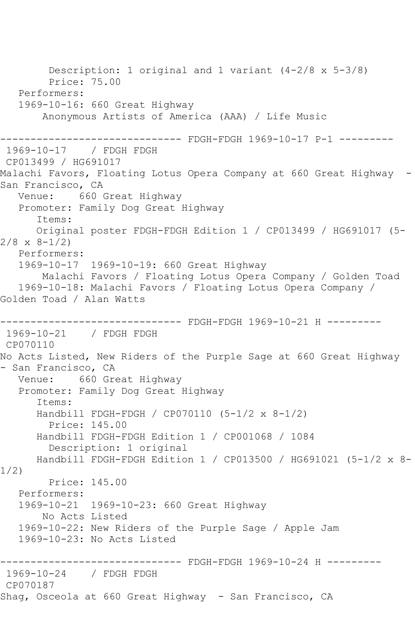Description: 1 original and 1 variant (4-2/8 x 5-3/8) Price: 75.00 Performers: 1969-10-16: 660 Great Highway Anonymous Artists of America (AAA) / Life Music ------------------------------ FDGH-FDGH 1969-10-17 P-1 --------- 1969-10-17 / FDGH FDGH CP013499 / HG691017 Malachi Favors, Floating Lotus Opera Company at 660 Great Highway - San Francisco, CA<br>Venue: 660 660 Great Highway Promoter: Family Dog Great Highway Items: Original poster FDGH-FDGH Edition 1 / CP013499 / HG691017 (5-  $2/8 \times 8 - 1/2$  Performers: 1969-10-17 1969-10-19: 660 Great Highway Malachi Favors / Floating Lotus Opera Company / Golden Toad 1969-10-18: Malachi Favors / Floating Lotus Opera Company / Golden Toad / Alan Watts ------------------------------ FDGH-FDGH 1969-10-21 H --------- 1969-10-21 / FDGH FDGH CP070110 No Acts Listed, New Riders of the Purple Sage at 660 Great Highway - San Francisco, CA Venue: 660 Great Highway Promoter: Family Dog Great Highway Items: Handbill FDGH-FDGH / CP070110 (5-1/2 x 8-1/2) Price: 145.00 Handbill FDGH-FDGH Edition 1 / CP001068 / 1084 Description: 1 original Handbill FDGH-FDGH Edition 1 / CP013500 / HG691021 (5-1/2 x 8- 1/2) Price: 145.00 Performers: 1969-10-21 1969-10-23: 660 Great Highway No Acts Listed 1969-10-22: New Riders of the Purple Sage / Apple Jam 1969-10-23: No Acts Listed ------------------------------ FDGH-FDGH 1969-10-24 H --------- 1969-10-24 / FDGH FDGH CP070187 Shag, Osceola at 660 Great Highway - San Francisco, CA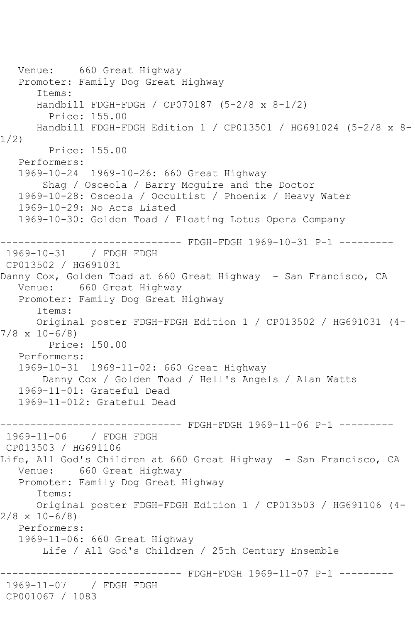```
 Venue: 660 Great Highway
   Promoter: Family Dog Great Highway
       Items:
      Handbill FDGH-FDGH / CP070187 (5-2/8 x 8-1/2)
         Price: 155.00
      Handbill FDGH-FDGH Edition 1 / CP013501 / HG691024 (5-2/8 x 8-
1/2)
        Price: 155.00
   Performers:
   1969-10-24 1969-10-26: 660 Great Highway
        Shag / Osceola / Barry Mcguire and the Doctor
   1969-10-28: Osceola / Occultist / Phoenix / Heavy Water
   1969-10-29: No Acts Listed
   1969-10-30: Golden Toad / Floating Lotus Opera Company
                     --------- FDGH-FDGH 1969-10-31 P-1 ---------
1969-10-31 / FDGH FDGH
CP013502 / HG691031
Danny Cox, Golden Toad at 660 Great Highway - San Francisco, CA
   Venue: 660 Great Highway
   Promoter: Family Dog Great Highway
       Items:
      Original poster FDGH-FDGH Edition 1 / CP013502 / HG691031 (4-
7/8 x 10-6/8)
         Price: 150.00
   Performers:
   1969-10-31 1969-11-02: 660 Great Highway
        Danny Cox / Golden Toad / Hell's Angels / Alan Watts
   1969-11-01: Grateful Dead
   1969-11-012: Grateful Dead
  ------------------------------ FDGH-FDGH 1969-11-06 P-1 ---------
1969-11-06 / FDGH FDGH
CP013503 / HG691106
Life, All God's Children at 660 Great Highway - San Francisco, CA
   Venue: 660 Great Highway
   Promoter: Family Dog Great Highway
       Items:
      Original poster FDGH-FDGH Edition 1 / CP013503 / HG691106 (4-
2/8 \times 10-6/8 Performers:
   1969-11-06: 660 Great Highway
       Life / All God's Children / 25th Century Ensemble
                     ---------- FDGH-FDGH 1969-11-07 P-1 ---------
1969-11-07 / FDGH FDGH
CP001067 / 1083
```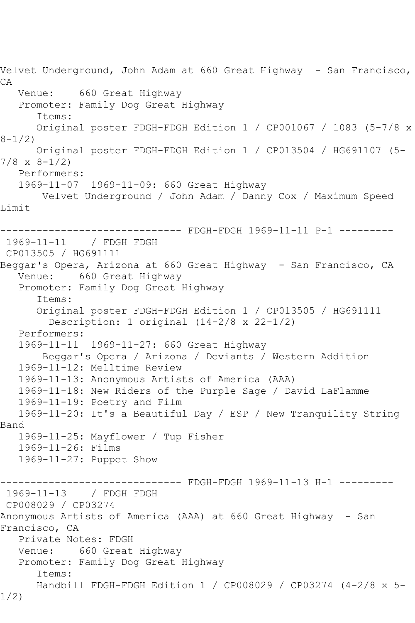Velvet Underground, John Adam at 660 Great Highway - San Francisco, CA Venue: 660 Great Highway Promoter: Family Dog Great Highway Items: Original poster FDGH-FDGH Edition 1 / CP001067 / 1083 (5-7/8 x  $8 - 1/2$  Original poster FDGH-FDGH Edition 1 / CP013504 / HG691107 (5- 7/8 x 8-1/2) Performers: 1969-11-07 1969-11-09: 660 Great Highway Velvet Underground / John Adam / Danny Cox / Maximum Speed Limit ------------------------------ FDGH-FDGH 1969-11-11 P-1 --------- 1969-11-11 / FDGH FDGH CP013505 / HG691111 Beggar's Opera, Arizona at 660 Great Highway – San Francisco, CA<br>Venue: 660 Great Highway 660 Great Highway Promoter: Family Dog Great Highway Items: Original poster FDGH-FDGH Edition 1 / CP013505 / HG691111 Description: 1 original (14-2/8 x 22-1/2) Performers: 1969-11-11 1969-11-27: 660 Great Highway Beggar's Opera / Arizona / Deviants / Western Addition 1969-11-12: Melltime Review 1969-11-13: Anonymous Artists of America (AAA) 1969-11-18: New Riders of the Purple Sage / David LaFlamme 1969-11-19: Poetry and Film 1969-11-20: It's a Beautiful Day / ESP / New Tranquility String Band 1969-11-25: Mayflower / Tup Fisher 1969-11-26: Films 1969-11-27: Puppet Show ------------------------------ FDGH-FDGH 1969-11-13 H-1 --------- 1969-11-13 / FDGH FDGH CP008029 / CP03274 Anonymous Artists of America (AAA) at 660 Great Highway - San Francisco, CA Private Notes: FDGH Venue: 660 Great Highway Promoter: Family Dog Great Highway Items: Handbill FDGH-FDGH Edition 1 / CP008029 / CP03274 (4-2/8 x 5- 1/2)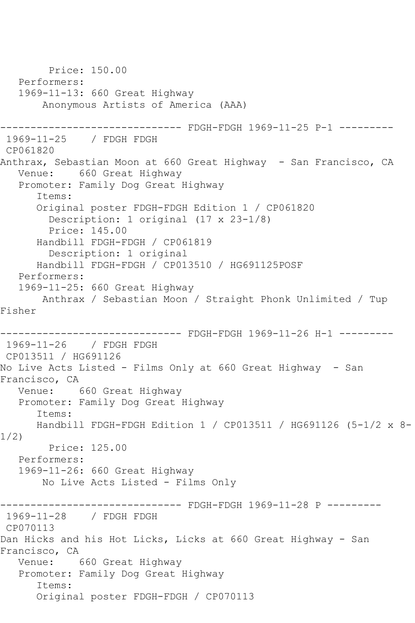Price: 150.00 Performers: 1969-11-13: 660 Great Highway Anonymous Artists of America (AAA) ------------------------------ FDGH-FDGH 1969-11-25 P-1 --------- 1969-11-25 / FDGH FDGH CP061820 Anthrax, Sebastian Moon at 660 Great Highway - San Francisco, CA Venue: 660 Great Highway Promoter: Family Dog Great Highway Items: Original poster FDGH-FDGH Edition 1 / CP061820 Description: 1 original (17 x 23-1/8) Price: 145.00 Handbill FDGH-FDGH / CP061819 Description: 1 original Handbill FDGH-FDGH / CP013510 / HG691125POSF Performers: 1969-11-25: 660 Great Highway Anthrax / Sebastian Moon / Straight Phonk Unlimited / Tup Fisher ------------------------------ FDGH-FDGH 1969-11-26 H-1 --------- 1969-11-26 / FDGH FDGH CP013511 / HG691126 No Live Acts Listed - Films Only at 660 Great Highway - San Francisco, CA Venue: 660 Great Highway Promoter: Family Dog Great Highway Items: Handbill FDGH-FDGH Edition 1 / CP013511 / HG691126 (5-1/2 x 8- 1/2) Price: 125.00 Performers: 1969-11-26: 660 Great Highway No Live Acts Listed - Films Only ------------------------------ FDGH-FDGH 1969-11-28 P --------- 1969-11-28 / FDGH FDGH CP070113 Dan Hicks and his Hot Licks, Licks at 660 Great Highway - San Francisco, CA Venue: 660 Great Highway Promoter: Family Dog Great Highway Items: Original poster FDGH-FDGH / CP070113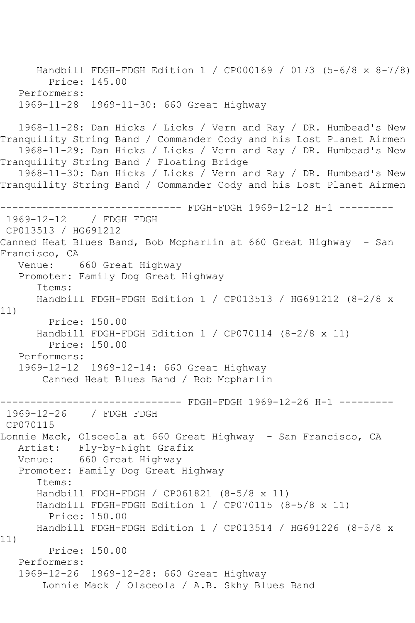```
 Handbill FDGH-FDGH Edition 1 / CP000169 / 0173 (5-6/8 x 8-7/8)
         Price: 145.00
   Performers:
   1969-11-28 1969-11-30: 660 Great Highway
   1968-11-28: Dan Hicks / Licks / Vern and Ray / DR. Humbead's New 
Tranquility String Band / Commander Cody and his Lost Planet Airmen
   1968-11-29: Dan Hicks / Licks / Vern and Ray / DR. Humbead's New 
Tranquility String Band / Floating Bridge
   1968-11-30: Dan Hicks / Licks / Vern and Ray / DR. Humbead's New 
Tranquility String Band / Commander Cody and his Lost Planet Airmen
                     --------- FDGH-FDGH 1969-12-12 H-1 ---------
1969-12-12 / FDGH FDGH
CP013513 / HG691212
Canned Heat Blues Band, Bob Mcpharlin at 660 Great Highway - San 
Francisco, CA
   Venue: 660 Great Highway
   Promoter: Family Dog Great Highway
      Items:
      Handbill FDGH-FDGH Edition 1 / CP013513 / HG691212 (8-2/8 x 
11)
        Price: 150.00
      Handbill FDGH-FDGH Edition 1 / CP070114 (8-2/8 x 11)
         Price: 150.00
   Performers:
   1969-12-12 1969-12-14: 660 Great Highway
       Canned Heat Blues Band / Bob Mcpharlin
------------------------------ FDGH-FDGH 1969-12-26 H-1 ---------
1969-12-26 / FDGH FDGH
CP070115
Lonnie Mack, Olsceola at 660 Great Highway - San Francisco, CA
   Artist: Fly-by-Night Grafix
   Venue: 660 Great Highway
   Promoter: Family Dog Great Highway
      Items:
      Handbill FDGH-FDGH / CP061821 (8-5/8 x 11)
      Handbill FDGH-FDGH Edition 1 / CP070115 (8-5/8 x 11)
         Price: 150.00
      Handbill FDGH-FDGH Edition 1 / CP013514 / HG691226 (8-5/8 x 
11)
        Price: 150.00
   Performers:
   1969-12-26 1969-12-28: 660 Great Highway
       Lonnie Mack / Olsceola / A.B. Skhy Blues Band
```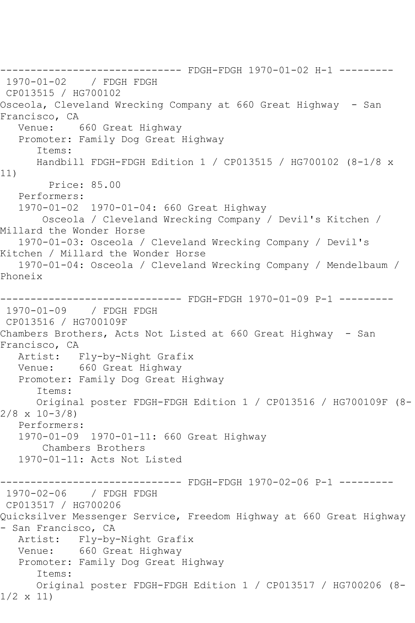------------------------------ FDGH-FDGH 1970-01-02 H-1 --------- 1970-01-02 / FDGH FDGH CP013515 / HG700102 Osceola, Cleveland Wrecking Company at 660 Great Highway - San Francisco, CA<br>Venue: 660 Great Highway Promoter: Family Dog Great Highway Items: Handbill FDGH-FDGH Edition 1 / CP013515 / HG700102 (8-1/8 x 11) Price: 85.00 Performers: 1970-01-02 1970-01-04: 660 Great Highway Osceola / Cleveland Wrecking Company / Devil's Kitchen / Millard the Wonder Horse 1970-01-03: Osceola / Cleveland Wrecking Company / Devil's Kitchen / Millard the Wonder Horse 1970-01-04: Osceola / Cleveland Wrecking Company / Mendelbaum / Phoneix ------------------------------ FDGH-FDGH 1970-01-09 P-1 --------- 1970-01-09 / FDGH FDGH CP013516 / HG700109F Chambers Brothers, Acts Not Listed at 660 Great Highway - San Francisco, CA Artist: Fly-by-Night Grafix Venue: 660 Great Highway Promoter: Family Dog Great Highway Items: Original poster FDGH-FDGH Edition 1 / CP013516 / HG700109F (8- 2/8 x 10-3/8) Performers: 1970-01-09 1970-01-11: 660 Great Highway Chambers Brothers 1970-01-11: Acts Not Listed ------------------------------ FDGH-FDGH 1970-02-06 P-1 --------- 1970-02-06 / FDGH FDGH CP013517 / HG700206 Quicksilver Messenger Service, Freedom Highway at 660 Great Highway - San Francisco, CA Artist: Fly-by-Night Grafix Venue: 660 Great Highway Promoter: Family Dog Great Highway Items: Original poster FDGH-FDGH Edition 1 / CP013517 / HG700206 (8- 1/2 x 11)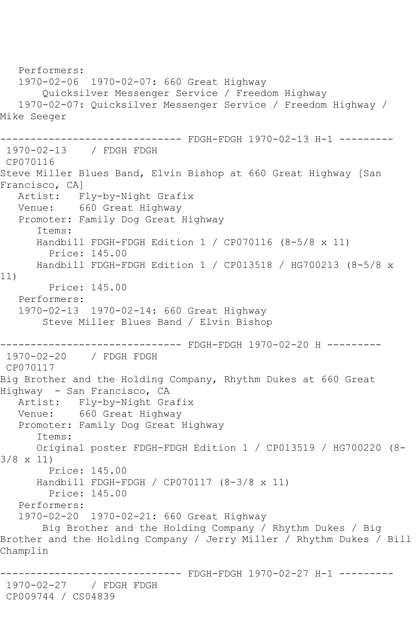Performers: 1970-02-06 1970-02-07: 660 Great Highway Quicksilver Messenger Service / Freedom Highway 1970-02-07: Quicksilver Messenger Service / Freedom Highway / Mike Seeger ------------------------------ FDGH-FDGH 1970-02-13 H-1 --------- 1970-02-13 / FDGH FDGH CP070116 Steve Miller Blues Band, Elvin Bishop at 660 Great Highway [San Francisco, CA] Artist: Fly-by-Night Grafix Venue: 660 Great Highway Promoter: Family Dog Great Highway Items: Handbill FDGH-FDGH Edition 1 / CP070116 (8-5/8 x 11) Price: 145.00 Handbill FDGH-FDGH Edition 1 / CP013518 / HG700213 (8-5/8 x 11) Price: 145.00 Performers: 1970-02-13 1970-02-14: 660 Great Highway Steve Miller Blues Band / Elvin Bishop ------------------------------ FDGH-FDGH 1970-02-20 H --------- 1970-02-20 / FDGH FDGH CP070117 Big Brother and the Holding Company, Rhythm Dukes at 660 Great Highway - San Francisco, CA Artist: Fly-by-Night Grafix Venue: 660 Great Highway Promoter: Family Dog Great Highway Items: Original poster FDGH-FDGH Edition 1 / CP013519 / HG700220 (8- 3/8 x 11) Price: 145.00 Handbill FDGH-FDGH / CP070117 (8-3/8 x 11) Price: 145.00 Performers: 1970-02-20 1970-02-21: 660 Great Highway Big Brother and the Holding Company / Rhythm Dukes / Big Brother and the Holding Company / Jerry Miller / Rhythm Dukes / Bill Champlin ----------- FDGH-FDGH 1970-02-27 H-1 ---------1970-02-27 / FDGH FDGH CP009744 / CS04839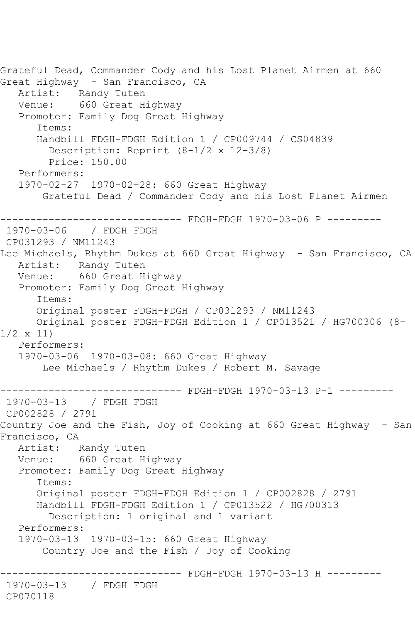```
Grateful Dead, Commander Cody and his Lost Planet Airmen at 660 
Great Highway - San Francisco, CA
   Artist: Randy Tuten
   Venue: 660 Great Highway
   Promoter: Family Dog Great Highway
       Items:
      Handbill FDGH-FDGH Edition 1 / CP009744 / CS04839
         Description: Reprint (8-1/2 x 12-3/8)
         Price: 150.00
   Performers:
   1970-02-27 1970-02-28: 660 Great Highway
        Grateful Dead / Commander Cody and his Lost Planet Airmen
------------------------------ FDGH-FDGH 1970-03-06 P ---------
1970-03-06 / FDGH FDGH
CP031293 / NM11243
Lee Michaels, Rhythm Dukes at 660 Great Highway - San Francisco, CA
   Artist: Randy Tuten
   Venue: 660 Great Highway
   Promoter: Family Dog Great Highway
       Items:
      Original poster FDGH-FDGH / CP031293 / NM11243
      Original poster FDGH-FDGH Edition 1 / CP013521 / HG700306 (8-
1/2 x 11)
   Performers:
   1970-03-06 1970-03-08: 660 Great Highway
        Lee Michaels / Rhythm Dukes / Robert M. Savage
                 ------------------------------ FDGH-FDGH 1970-03-13 P-1 ---------
1970-03-13 / FDGH FDGH
CP002828 / 2791
Country Joe and the Fish, Joy of Cooking at 660 Great Highway - San 
Francisco, CA
   Artist: Randy Tuten
   Venue: 660 Great Highway
   Promoter: Family Dog Great Highway
       Items:
      Original poster FDGH-FDGH Edition 1 / CP002828 / 2791
       Handbill FDGH-FDGH Edition 1 / CP013522 / HG700313
         Description: 1 original and 1 variant
   Performers:
   1970-03-13 1970-03-15: 660 Great Highway
        Country Joe and the Fish / Joy of Cooking
                 ------------------------------ FDGH-FDGH 1970-03-13 H ---------
1970-03-13 / FDGH FDGH
CP070118
```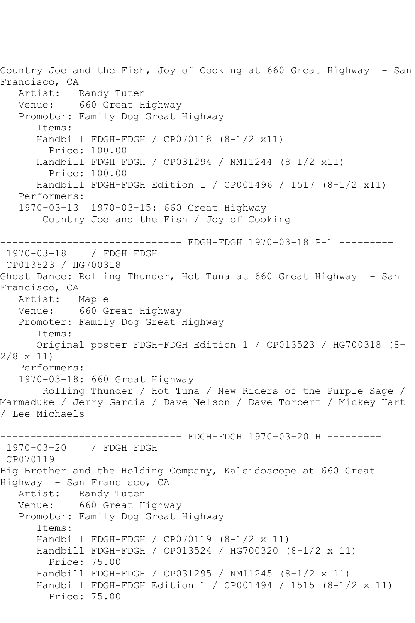Country Joe and the Fish, Joy of Cooking at 660 Great Highway - San Francisco, CA Artist: Randy Tuten Venue: 660 Great Highway Promoter: Family Dog Great Highway Items: Handbill FDGH-FDGH / CP070118 (8-1/2 x11) Price: 100.00 Handbill FDGH-FDGH / CP031294 / NM11244 (8-1/2 x11) Price: 100.00 Handbill FDGH-FDGH Edition 1 / CP001496 / 1517 (8-1/2 x11) Performers: 1970-03-13 1970-03-15: 660 Great Highway Country Joe and the Fish / Joy of Cooking ------------- FDGH-FDGH 1970-03-18 P-1 ---------1970-03-18 / FDGH FDGH CP013523 / HG700318 Ghost Dance: Rolling Thunder, Hot Tuna at 660 Great Highway - San Francisco, CA Artist: Maple Venue: 660 Great Highway Promoter: Family Dog Great Highway Items: Original poster FDGH-FDGH Edition 1 / CP013523 / HG700318 (8- 2/8 x 11) Performers: 1970-03-18: 660 Great Highway Rolling Thunder / Hot Tuna / New Riders of the Purple Sage / Marmaduke / Jerry Garcia / Dave Nelson / Dave Torbert / Mickey Hart / Lee Michaels ------------------------------ FDGH-FDGH 1970-03-20 H --------- 1970-03-20 / FDGH FDGH CP070119 Big Brother and the Holding Company, Kaleidoscope at 660 Great Highway - San Francisco, CA Artist: Randy Tuten Venue: 660 Great Highway Promoter: Family Dog Great Highway Items: Handbill FDGH-FDGH / CP070119 (8-1/2 x 11) Handbill FDGH-FDGH / CP013524 / HG700320 (8-1/2 x 11) Price: 75.00 Handbill FDGH-FDGH / CP031295 / NM11245 (8-1/2 x 11) Handbill FDGH-FDGH Edition 1 / CP001494 / 1515 (8-1/2 x 11) Price: 75.00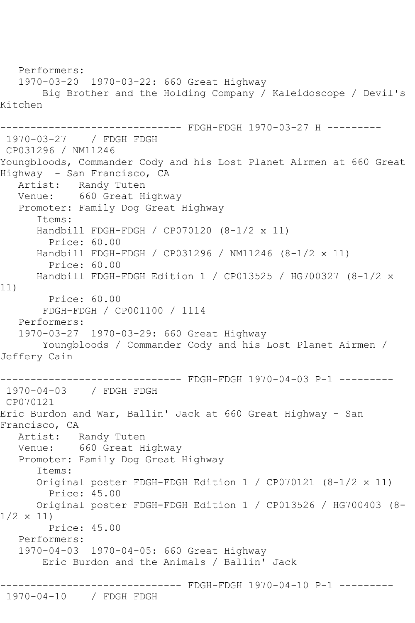Performers: 1970-03-20 1970-03-22: 660 Great Highway Big Brother and the Holding Company / Kaleidoscope / Devil's Kitchen ---------- FDGH-FDGH 1970-03-27 H ---------1970-03-27 / FDGH FDGH CP031296 / NM11246 Youngbloods, Commander Cody and his Lost Planet Airmen at 660 Great Highway - San Francisco, CA Artist: Randy Tuten Venue: 660 Great Highway Promoter: Family Dog Great Highway Items: Handbill FDGH-FDGH / CP070120 (8-1/2 x 11) Price: 60.00 Handbill FDGH-FDGH / CP031296 / NM11246 (8-1/2 x 11) Price: 60.00 Handbill FDGH-FDGH Edition 1 / CP013525 / HG700327 (8-1/2 x 11) Price: 60.00 FDGH-FDGH / CP001100 / 1114 Performers: 1970-03-27 1970-03-29: 660 Great Highway Youngbloods / Commander Cody and his Lost Planet Airmen / Jeffery Cain ------------------------------ FDGH-FDGH 1970-04-03 P-1 --------- 1970-04-03 / FDGH FDGH CP070121 Eric Burdon and War, Ballin' Jack at 660 Great Highway - San Francisco, CA Artist: Randy Tuten Venue: 660 Great Highway Promoter: Family Dog Great Highway Items: Original poster FDGH-FDGH Edition 1 / CP070121 (8-1/2 x 11) Price: 45.00 Original poster FDGH-FDGH Edition 1 / CP013526 / HG700403 (8- 1/2 x 11) Price: 45.00 Performers: 1970-04-03 1970-04-05: 660 Great Highway Eric Burdon and the Animals / Ballin' Jack ------------------------------ FDGH-FDGH 1970-04-10 P-1 --------- 1970-04-10 / FDGH FDGH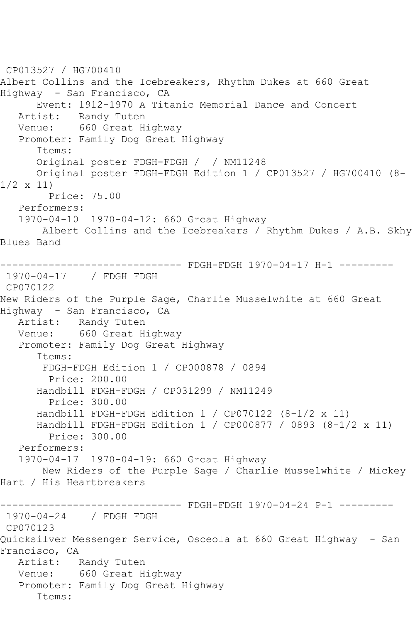CP013527 / HG700410 Albert Collins and the Icebreakers, Rhythm Dukes at 660 Great Highway - San Francisco, CA Event: 1912-1970 A Titanic Memorial Dance and Concert Artist: Randy Tuten Venue: 660 Great Highway Promoter: Family Dog Great Highway Items: Original poster FDGH-FDGH / / NM11248 Original poster FDGH-FDGH Edition 1 / CP013527 / HG700410 (8-  $1/2 \times 11$  Price: 75.00 Performers: 1970-04-10 1970-04-12: 660 Great Highway Albert Collins and the Icebreakers / Rhythm Dukes / A.B. Skhy Blues Band ------------------------------ FDGH-FDGH 1970-04-17 H-1 --------- 1970-04-17 / FDGH FDGH CP070122 New Riders of the Purple Sage, Charlie Musselwhite at 660 Great Highway - San Francisco, CA Artist: Randy Tuten Venue: 660 Great Highway Promoter: Family Dog Great Highway Items: FDGH-FDGH Edition 1 / CP000878 / 0894 Price: 200.00 Handbill FDGH-FDGH / CP031299 / NM11249 Price: 300.00 Handbill FDGH-FDGH Edition 1 / CP070122 (8-1/2 x 11) Handbill FDGH-FDGH Edition 1 / CP000877 / 0893 (8-1/2 x 11) Price: 300.00 Performers: 1970-04-17 1970-04-19: 660 Great Highway New Riders of the Purple Sage / Charlie Musselwhite / Mickey Hart / His Heartbreakers ------------------------------ FDGH-FDGH 1970-04-24 P-1 --------- 1970-04-24 / FDGH FDGH CP070123 Quicksilver Messenger Service, Osceola at 660 Great Highway - San Francisco, CA Artist: Randy Tuten Venue: 660 Great Highway Promoter: Family Dog Great Highway Items: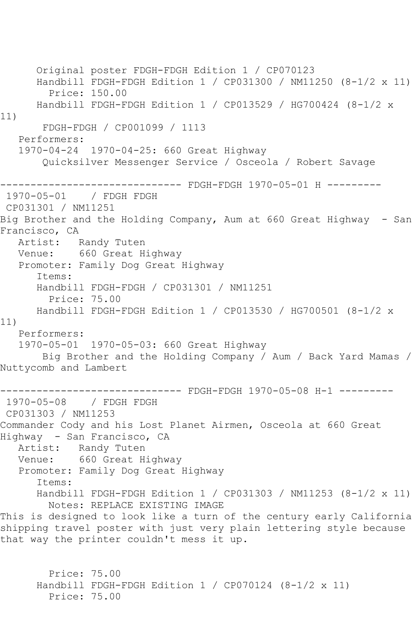Original poster FDGH-FDGH Edition 1 / CP070123 Handbill FDGH-FDGH Edition 1 / CP031300 / NM11250 (8-1/2 x 11) Price: 150.00 Handbill FDGH-FDGH Edition 1 / CP013529 / HG700424 (8-1/2 x 11) FDGH-FDGH / CP001099 / 1113 Performers: 1970-04-24 1970-04-25: 660 Great Highway Quicksilver Messenger Service / Osceola / Robert Savage ------------------------------ FDGH-FDGH 1970-05-01 H --------- 1970-05-01 / FDGH FDGH CP031301 / NM11251 Big Brother and the Holding Company, Aum at 660 Great Highway - San Francisco, CA Artist: Randy Tuten Venue: 660 Great Highway Promoter: Family Dog Great Highway Items: Handbill FDGH-FDGH / CP031301 / NM11251 Price: 75.00 Handbill FDGH-FDGH Edition 1 / CP013530 / HG700501 (8-1/2 x 11) Performers: 1970-05-01 1970-05-03: 660 Great Highway Big Brother and the Holding Company / Aum / Back Yard Mamas / Nuttycomb and Lambert ------------------------------ FDGH-FDGH 1970-05-08 H-1 --------- 1970-05-08 / FDGH FDGH CP031303 / NM11253 Commander Cody and his Lost Planet Airmen, Osceola at 660 Great Highway - San Francisco, CA Artist: Randy Tuten Venue: 660 Great Highway Promoter: Family Dog Great Highway Items: Handbill FDGH-FDGH Edition 1 / CP031303 / NM11253 (8-1/2 x 11) Notes: REPLACE EXISTING IMAGE This is designed to look like a turn of the century early California shipping travel poster with just very plain lettering style because that way the printer couldn't mess it up. Price: 75.00 Handbill FDGH-FDGH Edition 1 / CP070124 (8-1/2 x 11) Price: 75.00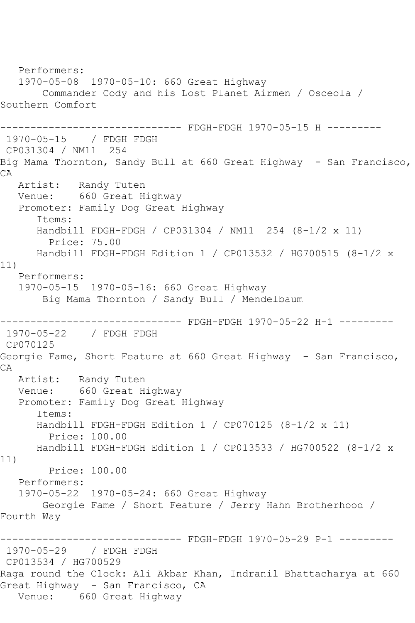Performers: 1970-05-08 1970-05-10: 660 Great Highway Commander Cody and his Lost Planet Airmen / Osceola / Southern Comfort ------ FDGH-FDGH 1970-05-15 H ---------1970-05-15 / FDGH FDGH CP031304 / NM11 254 Big Mama Thornton, Sandy Bull at 660 Great Highway - San Francisco, CA Artist: Randy Tuten Venue: 660 Great Highway Promoter: Family Dog Great Highway Items: Handbill FDGH-FDGH / CP031304 / NM11 254 (8-1/2 x 11) Price: 75.00 Handbill FDGH-FDGH Edition 1 / CP013532 / HG700515 (8-1/2 x 11) Performers: 1970-05-15 1970-05-16: 660 Great Highway Big Mama Thornton / Sandy Bull / Mendelbaum ------------------------------ FDGH-FDGH 1970-05-22 H-1 --------- 1970-05-22 / FDGH FDGH CP070125 Georgie Fame, Short Feature at 660 Great Highway - San Francisco, CA Artist: Randy Tuten Venue: 660 Great Highway Promoter: Family Dog Great Highway Items: Handbill FDGH-FDGH Edition 1 / CP070125 (8-1/2 x 11) Price: 100.00 Handbill FDGH-FDGH Edition 1 / CP013533 / HG700522 (8-1/2 x 11) Price: 100.00 Performers: 1970-05-22 1970-05-24: 660 Great Highway Georgie Fame / Short Feature / Jerry Hahn Brotherhood / Fourth Way ------------------------------ FDGH-FDGH 1970-05-29 P-1 --------- 1970-05-29 / FDGH FDGH CP013534 / HG700529 Raga round the Clock: Ali Akbar Khan, Indranil Bhattacharya at 660 Great Highway - San Francisco, CA Venue: 660 Great Highway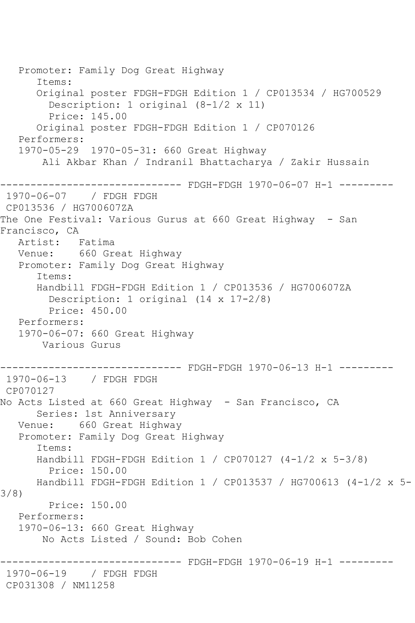Promoter: Family Dog Great Highway Items: Original poster FDGH-FDGH Edition 1 / CP013534 / HG700529 Description: 1 original (8-1/2 x 11) Price: 145.00 Original poster FDGH-FDGH Edition 1 / CP070126 Performers: 1970-05-29 1970-05-31: 660 Great Highway Ali Akbar Khan / Indranil Bhattacharya / Zakir Hussain ------------------------------ FDGH-FDGH 1970-06-07 H-1 --------- 1970-06-07 / FDGH FDGH CP013536 / HG700607ZA The One Festival: Various Gurus at 660 Great Highway - San Francisco, CA Artist: Fatima Venue: 660 Great Highway Promoter: Family Dog Great Highway Items: Handbill FDGH-FDGH Edition 1 / CP013536 / HG700607ZA Description: 1 original (14 x 17-2/8) Price: 450.00 Performers: 1970-06-07: 660 Great Highway Various Gurus ------------------------------ FDGH-FDGH 1970-06-13 H-1 --------- 1970-06-13 / FDGH FDGH CP070127 No Acts Listed at 660 Great Highway - San Francisco, CA Series: 1st Anniversary Venue: 660 Great Highway Promoter: Family Dog Great Highway Items: Handbill FDGH-FDGH Edition 1 / CP070127 (4-1/2 x 5-3/8) Price: 150.00 Handbill FDGH-FDGH Edition 1 / CP013537 / HG700613 (4-1/2 x 5- 3/8) Price: 150.00 Performers: 1970-06-13: 660 Great Highway No Acts Listed / Sound: Bob Cohen ------------------------------ FDGH-FDGH 1970-06-19 H-1 --------- 1970-06-19 / FDGH FDGH CP031308 / NM11258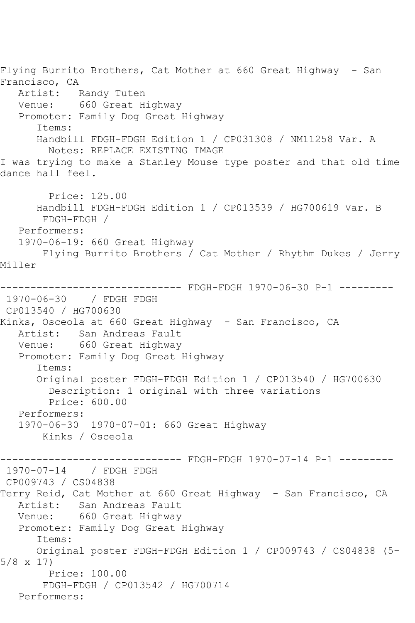Flying Burrito Brothers, Cat Mother at 660 Great Highway - San Francisco, CA<br>Artist: Randy Tuten Venue: 660 Great Highway Promoter: Family Dog Great Highway Items: Handbill FDGH-FDGH Edition 1 / CP031308 / NM11258 Var. A Notes: REPLACE EXISTING IMAGE I was trying to make a Stanley Mouse type poster and that old time dance hall feel. Price: 125.00 Handbill FDGH-FDGH Edition 1 / CP013539 / HG700619 Var. B FDGH-FDGH / Performers: 1970-06-19: 660 Great Highway Flying Burrito Brothers / Cat Mother / Rhythm Dukes / Jerry Miller ------------------------------ FDGH-FDGH 1970-06-30 P-1 --------- 1970-06-30 / FDGH FDGH CP013540 / HG700630 Kinks, Osceola at 660 Great Highway - San Francisco, CA Artist: San Andreas Fault Venue: 660 Great Highway Promoter: Family Dog Great Highway Items: Original poster FDGH-FDGH Edition 1 / CP013540 / HG700630 Description: 1 original with three variations Price: 600.00 Performers: 1970-06-30 1970-07-01: 660 Great Highway Kinks / Osceola ----- FDGH-FDGH 1970-07-14 P-1 ---------1970-07-14 / FDGH FDGH CP009743 / CS04838 Terry Reid, Cat Mother at 660 Great Highway - San Francisco, CA Artist: San Andreas Fault Venue: 660 Great Highway Promoter: Family Dog Great Highway Items: Original poster FDGH-FDGH Edition 1 / CP009743 / CS04838 (5- 5/8 x 17) Price: 100.00 FDGH-FDGH / CP013542 / HG700714 Performers: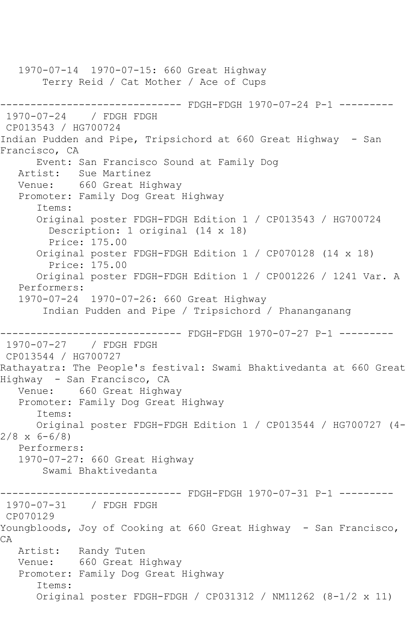1970-07-14 1970-07-15: 660 Great Highway Terry Reid / Cat Mother / Ace of Cups ------------------------------ FDGH-FDGH 1970-07-24 P-1 --------- 1970-07-24 / FDGH FDGH CP013543 / HG700724 Indian Pudden and Pipe, Tripsichord at 660 Great Highway - San Francisco, CA Event: San Francisco Sound at Family Dog Artist: Sue Martinez Venue: 660 Great Highway Promoter: Family Dog Great Highway Items: Original poster FDGH-FDGH Edition 1 / CP013543 / HG700724 Description: 1 original (14 x 18) Price: 175.00 Original poster FDGH-FDGH Edition 1 / CP070128 (14 x 18) Price: 175.00 Original poster FDGH-FDGH Edition 1 / CP001226 / 1241 Var. A Performers: 1970-07-24 1970-07-26: 660 Great Highway Indian Pudden and Pipe / Tripsichord / Phananganang ------------------------------ FDGH-FDGH 1970-07-27 P-1 --------- 1970-07-27 / FDGH FDGH CP013544 / HG700727 Rathayatra: The People's festival: Swami Bhaktivedanta at 660 Great Highway - San Francisco, CA Venue: 660 Great Highway Promoter: Family Dog Great Highway Items: Original poster FDGH-FDGH Edition 1 / CP013544 / HG700727 (4-  $2/8 \times 6 - 6/8$  Performers: 1970-07-27: 660 Great Highway Swami Bhaktivedanta ------------------------------ FDGH-FDGH 1970-07-31 P-1 --------- 1970-07-31 / FDGH FDGH CP070129 Youngbloods, Joy of Cooking at 660 Great Highway - San Francisco, CA Artist: Randy Tuten Venue: 660 Great Highway Promoter: Family Dog Great Highway Items: Original poster FDGH-FDGH / CP031312 / NM11262 (8-1/2 x 11)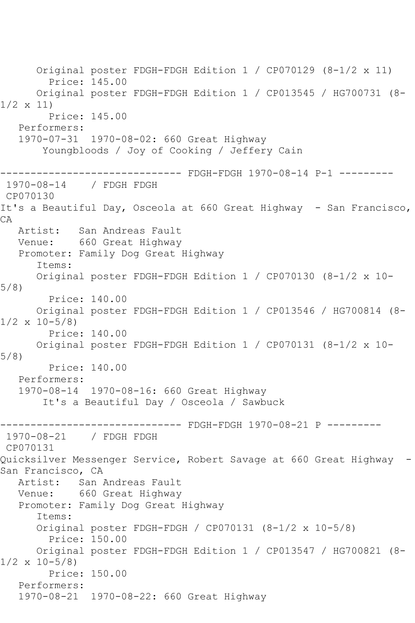Original poster FDGH-FDGH Edition 1 / CP070129 (8-1/2 x 11) Price: 145.00 Original poster FDGH-FDGH Edition 1 / CP013545 / HG700731 (8- 1/2 x 11) Price: 145.00 Performers: 1970-07-31 1970-08-02: 660 Great Highway Youngbloods / Joy of Cooking / Jeffery Cain ------------------------------ FDGH-FDGH 1970-08-14 P-1 --------- 1970-08-14 / FDGH FDGH CP070130 It's a Beautiful Day, Osceola at 660 Great Highway - San Francisco, CA Artist: San Andreas Fault Venue: 660 Great Highway Promoter: Family Dog Great Highway Items: Original poster FDGH-FDGH Edition 1 / CP070130 (8-1/2 x 10- 5/8) Price: 140.00 Original poster FDGH-FDGH Edition 1 / CP013546 / HG700814 (8-  $1/2 \times 10-5/8$  Price: 140.00 Original poster FDGH-FDGH Edition 1 / CP070131 (8-1/2 x 10- 5/8) Price: 140.00 Performers: 1970-08-14 1970-08-16: 660 Great Highway It's a Beautiful Day / Osceola / Sawbuck ------------------------------ FDGH-FDGH 1970-08-21 P --------- 1970-08-21 / FDGH FDGH CP070131 Quicksilver Messenger Service, Robert Savage at 660 Great Highway - San Francisco, CA Artist: San Andreas Fault Venue: 660 Great Highway Promoter: Family Dog Great Highway Items: Original poster FDGH-FDGH / CP070131 (8-1/2 x 10-5/8) Price: 150.00 Original poster FDGH-FDGH Edition 1 / CP013547 / HG700821 (8-  $1/2 \times 10-5/8$  Price: 150.00 Performers: 1970-08-21 1970-08-22: 660 Great Highway